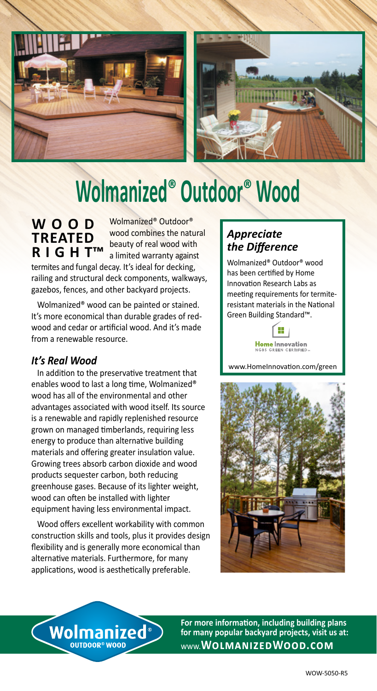



## **Wolmanized® Outdoor® Wood**

**W O O D TREATED R I G H T™** Wolmanized® Outdoor® wood combines the natural beauty of real wood with a limited warranty against

termites and fungal decay. It's ideal for decking, railing and structural deck components, walkways, gazebos, fences, and other backyard projects.

 Wolmanized® wood can be painted or stained. It's more economical than durable grades of redwood and cedar or artificial wood. And it's made from a renewable resource.

## *It's Real Wood*

 In addition to the preservative treatment that enables wood to last a long time, Wolmanized® wood has all of the environmental and other advantages associated with wood itself. Its source is a renewable and rapidly replenished resource grown on managed timberlands, requiring less energy to produce than alternative building materials and offering greater insulation value. Growing trees absorb carbon dioxide and wood products sequester carbon, both reducing greenhouse gases. Because of its lighter weight, wood can often be installed with lighter equipment having less environmental impact.

 Wood offers excellent workability with common construction skills and tools, plus it provides design flexibility and is generally more economical than alternative materials. Furthermore, for many applications, wood is aesthetically preferable.

## *Appreciate the Difference*

Wolmanized® Outdoor® wood has been certified by Home Innovation Research Labs as meeting requirements for termiteresistant materials in the National Green Building Standard™.



www.HomeInnovation.com/green





**For more information, including building plans for many popular backyard projects, visit us at:** www.**WolmanizedWood.com**